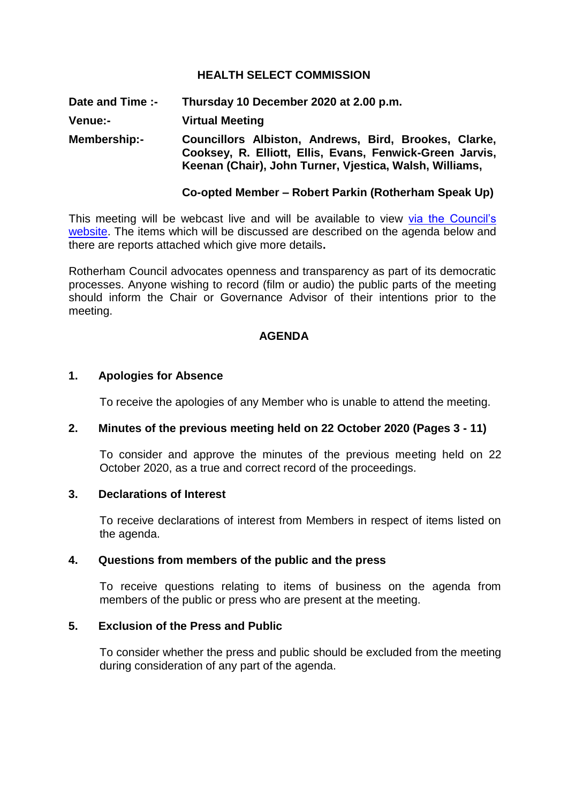## **HEALTH SELECT COMMISSION**

**Date and Time :- Thursday 10 December 2020 at 2.00 p.m. Venue:- Virtual Meeting Membership:- Councillors Albiston, Andrews, Bird, Brookes, Clarke, Cooksey, R. Elliott, Ellis, Evans, Fenwick-Green Jarvis, Keenan (Chair), John Turner, Vjestica, Walsh, Williams,** 

### **Co-opted Member – Robert Parkin (Rotherham Speak Up)**

This meeting will be webcast live and will be available to view [via the Council's](https://rotherham.public-i.tv/core/portal/home)  [website.](https://rotherham.public-i.tv/core/portal/home) The items which will be discussed are described on the agenda below and there are reports attached which give more details**.**

Rotherham Council advocates openness and transparency as part of its democratic processes. Anyone wishing to record (film or audio) the public parts of the meeting should inform the Chair or Governance Advisor of their intentions prior to the meeting.

#### **AGENDA**

#### **1. Apologies for Absence**

To receive the apologies of any Member who is unable to attend the meeting.

#### **2. Minutes of the previous meeting held on 22 October 2020 (Pages 3 - 11)**

To consider and approve the minutes of the previous meeting held on 22 October 2020, as a true and correct record of the proceedings.

#### **3. Declarations of Interest**

To receive declarations of interest from Members in respect of items listed on the agenda.

#### **4. Questions from members of the public and the press**

To receive questions relating to items of business on the agenda from members of the public or press who are present at the meeting.

# **5. Exclusion of the Press and Public**

To consider whether the press and public should be excluded from the meeting during consideration of any part of the agenda.